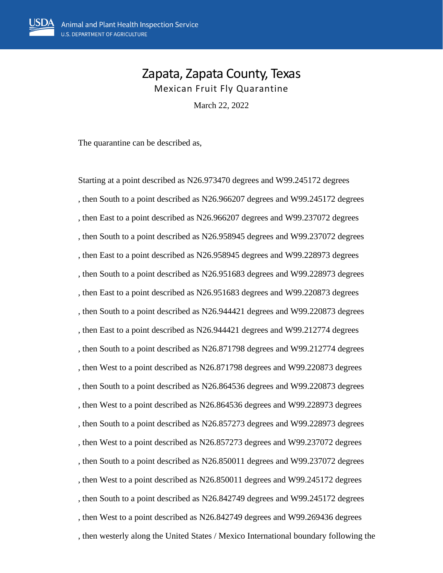## Zapata, Zapata County, Texas Mexican Fruit Fly Quarantine

March 22, 2022

The quarantine can be described as,

Starting at a point described as N26.973470 degrees and W99.245172 degrees , then South to a point described as N26.966207 degrees and W99.245172 degrees , then East to a point described as N26.966207 degrees and W99.237072 degrees , then South to a point described as N26.958945 degrees and W99.237072 degrees , then East to a point described as N26.958945 degrees and W99.228973 degrees , then South to a point described as N26.951683 degrees and W99.228973 degrees , then East to a point described as N26.951683 degrees and W99.220873 degrees , then South to a point described as N26.944421 degrees and W99.220873 degrees , then East to a point described as N26.944421 degrees and W99.212774 degrees , then South to a point described as N26.871798 degrees and W99.212774 degrees , then West to a point described as N26.871798 degrees and W99.220873 degrees , then South to a point described as N26.864536 degrees and W99.220873 degrees , then West to a point described as N26.864536 degrees and W99.228973 degrees , then South to a point described as N26.857273 degrees and W99.228973 degrees , then West to a point described as N26.857273 degrees and W99.237072 degrees , then South to a point described as N26.850011 degrees and W99.237072 degrees , then West to a point described as N26.850011 degrees and W99.245172 degrees , then South to a point described as N26.842749 degrees and W99.245172 degrees , then West to a point described as N26.842749 degrees and W99.269436 degrees , then westerly along the United States / Mexico International boundary following the